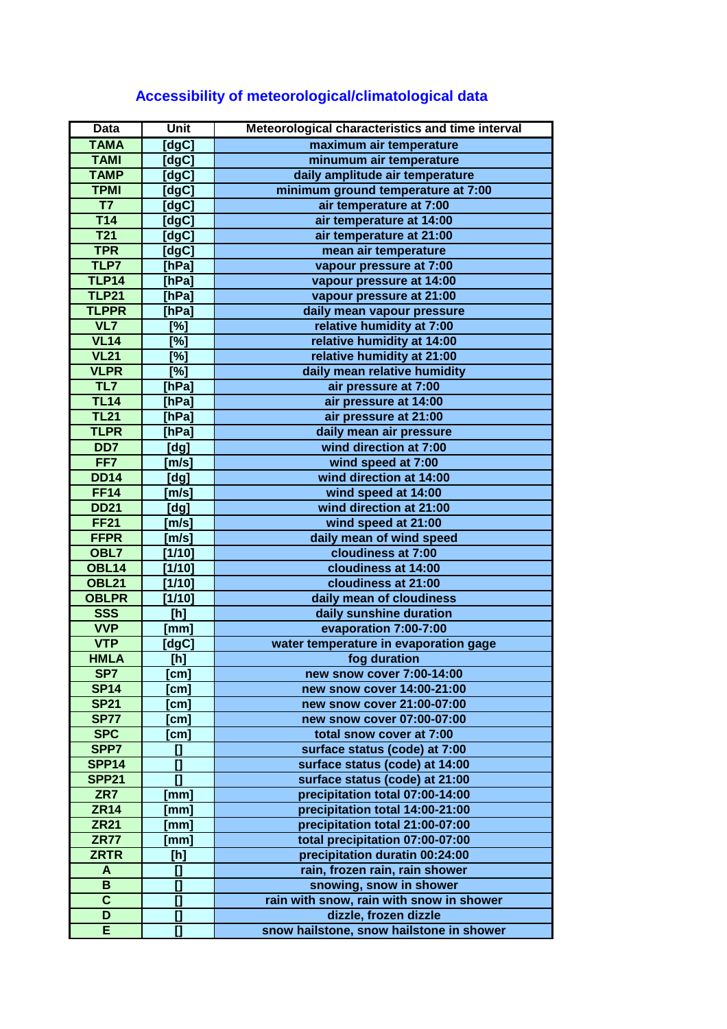| <b>Data</b>              | Unit                       | Meteorological characteristics and time interval |
|--------------------------|----------------------------|--------------------------------------------------|
| <b>TAMA</b>              | $\overline{\text{[dgC]}}$  | maximum air temperature                          |
| <b>TAMI</b>              | [dgC]                      | minumum air temperature                          |
| <b>TAMP</b>              | [dgC]                      | daily amplitude air temperature                  |
| <b>TPMI</b>              | [dgC]                      | minimum ground temperature at 7:00               |
| $\overline{\mathsf{T7}}$ | [dgc]                      | air temperature at 7:00                          |
| T14                      | [dgC]                      | air temperature at 14:00                         |
| <b>T21</b>               | [dgC]                      | air temperature at 21:00                         |
| <b>TPR</b>               | [dgC]                      | mean air temperature                             |
| TLP7                     | [hPa]                      | vapour pressure at 7:00                          |
| <b>TLP14</b>             | [hPa]                      | vapour pressure at 14:00                         |
| <b>TLP21</b>             | [hPa]                      | vapour pressure at 21:00                         |
| <b>TLPPR</b>             | [hPa]                      | daily mean vapour pressure                       |
| VL7                      | $\overline{[%]}$           | relative humidity at 7:00                        |
| VL14                     | $\overline{[%]}$           | relative humidity at 14:00                       |
| VL21                     | $\overline{[%]}$           | relative humidity at 21:00                       |
| <b>VLPR</b>              | $\overline{[%]}$           | daily mean relative humidity                     |
| TL7                      | $[$ hPa]                   | air pressure at 7:00                             |
| <b>TL14</b>              | [hPa]                      | air pressure at 14:00                            |
| <b>TL21</b>              | [hPa]                      | air pressure at 21:00                            |
| <b>TLPR</b>              | [hPa]                      | daily mean air pressure                          |
| DD7                      | [dg]                       | wind direction at 7:00                           |
| FF7                      | [m/s]                      | wind speed at 7:00                               |
| <b>DD14</b>              | [dg]                       | wind direction at 14:00                          |
| <b>FF14</b>              | [m/s]                      | wind speed at 14:00                              |
| <b>DD21</b>              | [dg]                       | wind direction at 21:00                          |
| <b>FF21</b>              | [m/s]                      | wind speed at 21:00                              |
| <b>FFPR</b>              | [m/s]                      | daily mean of wind speed                         |
| OBL7                     | [1/10]                     | cloudiness at 7:00                               |
| <b>OBL14</b>             | [1/10]                     | cloudiness at 14:00                              |
| <b>OBL21</b>             | [1/10]                     | cloudiness at 21:00                              |
| <b>OBLPR</b>             | [1/10]                     | daily mean of cloudiness                         |
| <b>SSS</b>               | [h]                        | daily sunshine duration                          |
| <b>VVP</b>               | [mm]                       | evaporation 7:00-7:00                            |
| <b>VTP</b>               | [dgC]                      | water temperature in evaporation gage            |
| <b>HMLA</b>              | [h]                        | fog duration                                     |
| SP7                      | [cm]                       | new snow cover 7:00-14:00                        |
| <b>SP14</b>              | [cm]                       | new snow cover 14:00-21:00                       |
| <b>SP21</b>              | cm <sub>l</sub>            | new snow cover 21:00-07:00                       |
| <b>SP77</b>              | [cm]                       | new snow cover 07:00-07:00                       |
| <b>SPC</b>               | [cm]                       | total snow cover at 7:00                         |
| SPP7                     | $\mathbf{I}$               | surface status (code) at 7:00                    |
| <b>SPP14</b>             | $\overline{a}$             | surface status (code) at 14:00                   |
| <b>SPP21</b>             | $\mathbf{I}$               | surface status (code) at 21:00                   |
| ZR7                      | [mm]                       | precipitation total 07:00-14:00                  |
| <b>ZR14</b>              | [mm]                       | precipitation total 14:00-21:00                  |
| <b>ZR21</b>              | $\left[\mathsf{mm}\right]$ | precipitation total 21:00-07:00                  |
| <b>ZR77</b>              | [mm]                       | total precipitation 07:00-07:00                  |
| <b>ZRTR</b>              | [h]                        | precipitation duratin 00:24:00                   |
| A                        | $\mathbf{I}$               | rain, frozen rain, rain shower                   |
| B                        | []                         | snowing, snow in shower                          |
| $\overline{\mathbf{c}}$  | $\overline{\Box}$          | rain with snow, rain with snow in shower         |
| D                        | $\mathbf{I}$               | dizzle, frozen dizzle                            |
| E                        | $\overline{\mathbf{u}}$    | snow hailstone, snow hailstone in shower         |
|                          |                            |                                                  |

## **Accessibility of meteorological/climatological data**